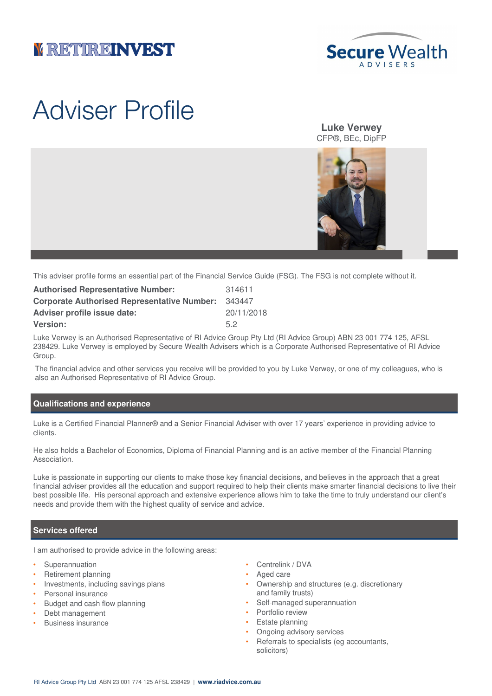## **VETTEREINVEST**



# Adviser Profile

**Luke Verwey** CFP®, BEc, DipFP



This adviser profile forms an essential part of the Financial Service Guide (FSG). The FSG is not complete without it.

| <b>Authorised Representative Number:</b>           | 314611     |
|----------------------------------------------------|------------|
| <b>Corporate Authorised Representative Number:</b> | 343447     |
| <b>Adviser profile issue date:</b>                 | 20/11/2018 |
| <b>Version:</b>                                    | 52         |

Luke Verwey is an Authorised Representative of RI Advice Group Pty Ltd (RI Advice Group) ABN 23 001 774 125, AFSL 238429. Luke Verwey is employed by Secure Wealth Advisers which is a Corporate Authorised Representative of RI Advice Group.

The financial advice and other services you receive will be provided to you by Luke Verwey, or one of my colleagues, who is also an Authorised Representative of RI Advice Group.

### **Qualifications and experience**

Luke is a Certified Financial Planner® and a Senior Financial Adviser with over 17 years' experience in providing advice to clients.

He also holds a Bachelor of Economics, Diploma of Financial Planning and is an active member of the Financial Planning Association.

Luke is passionate in supporting our clients to make those key financial decisions, and believes in the approach that a great financial adviser provides all the education and support required to help their clients make smarter financial decisions to live their best possible life. His personal approach and extensive experience allows him to take the time to truly understand our client's needs and provide them with the highest quality of service and advice.

#### **Services offered**

I am authorised to provide advice in the following areas:

- **Superannuation**
- Retirement planning
- Investments, including savings plans
- Personal insurance
- Budget and cash flow planning
- Debt management
- Business insurance
- Centrelink / DVA
- Aged care
- Ownership and structures (e.g. discretionary and family trusts)
- Self-managed superannuation
- Portfolio review
- Estate planning
- Ongoing advisory services
- Referrals to specialists (eg accountants, solicitors)